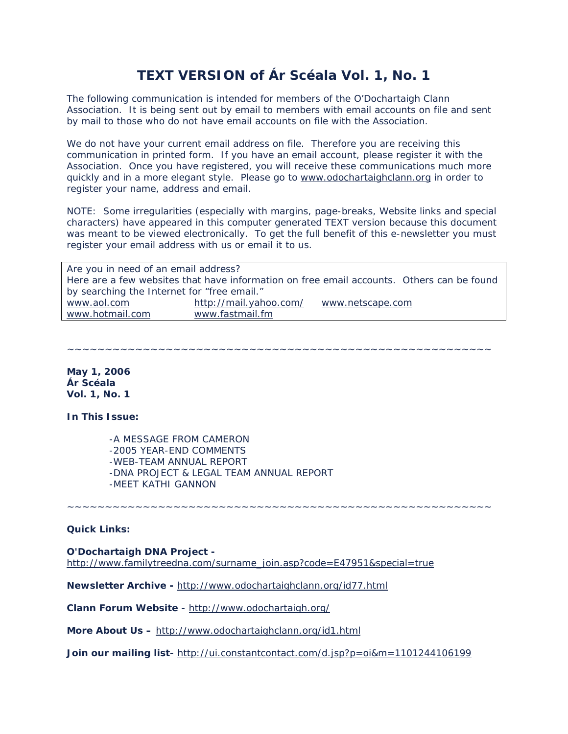# **TEXT VERSION of Ár Scéala Vol. 1, No. 1**

The following communication is intended for members of the O'Dochartaigh Clann Association. It is being sent out by email to members with email accounts on file and sent by mail to those who do not have email accounts on file with the Association.

We do not have your current email address on file. Therefore you are receiving this communication in printed form. If you have an email account, please register it with the Association. Once you have registered, you will receive these communications much more quickly and in a more elegant style. Please go to [www.odochartaighclann.org](http://www.odochartaighclann.org/) in order to register your name, address and email.

NOTE: Some irregularities (especially with margins, page-breaks, Website links and special characters) have appeared in this computer generated TEXT version because this document was meant to be viewed electronically. To get the full benefit of this e-newsletter you must register your email address with us or email it to us.

| Are you in need of an email address?                                                      |                        |                  |  |
|-------------------------------------------------------------------------------------------|------------------------|------------------|--|
| Here are a few websites that have information on free email accounts. Others can be found |                        |                  |  |
| by searching the Internet for "free email."                                               |                        |                  |  |
| www.aol.com                                                                               | http://mail.yahoo.com/ | www.netscape.com |  |
| www.hotmail.com                                                                           | www.fastmail.fm        |                  |  |

~~~~~~~~~~~~~~~~~~~~~~~~~~~~~~~~~~~~~~~~~~~~~~~~~~~~~~~~

**May 1, 2006 Ár Scéala Vol. 1, No. 1**

**In This Issue:** 

 -A MESSAGE FROM CAMERON -2005 YEAR-END COMMENTS -WEB-TEAM ANNUAL REPORT -DNA PROJECT & LEGAL TEAM ANNUAL REPORT -MEET KATHI GANNON

~~~~~~~~~~~~~~~~~~~~~~~~~~~~~~~~~~~~~~~~~~~~~~~~~~~~~~~~

# **Quick Links:**

#### **O'Dochartaigh DNA Project -**

[http://www.familytreedna.com/surname\\_join.asp?code=E47951&special=true](http://rs6.net/tn.jsp?t=jq5h4ubab.0.6p8ydvbab.xobhutbab.163&p=http%3A%2F%2Fwww.familytreedna.com%2Fsurname_join.asp%3Fcode%3DE47951%26special%3Dtrue)

**Newsletter Archive -** [http://www.odochartaighclann.org/id77.html](http://rs6.net/tn.jsp?t=jq5h4ubab.0.5p8ydvbab.xobhutbab.163&p=http%3A%2F%2Fwww.odochartaighclann.org%2Fid77.html)

**Clann Forum Website -** [http://www.odochartaigh.org/](http://rs6.net/tn.jsp?t=jq5h4ubab.0.4p8ydvbab.xobhutbab.163&p=http%3A%2F%2Fwww.odochartaigh.org)

**More About Us –** <http://www.odochartaighclann.org/id1.html>

**Join our mailing list-** <http://ui.constantcontact.com/d.jsp?p=oi&m=1101244106199>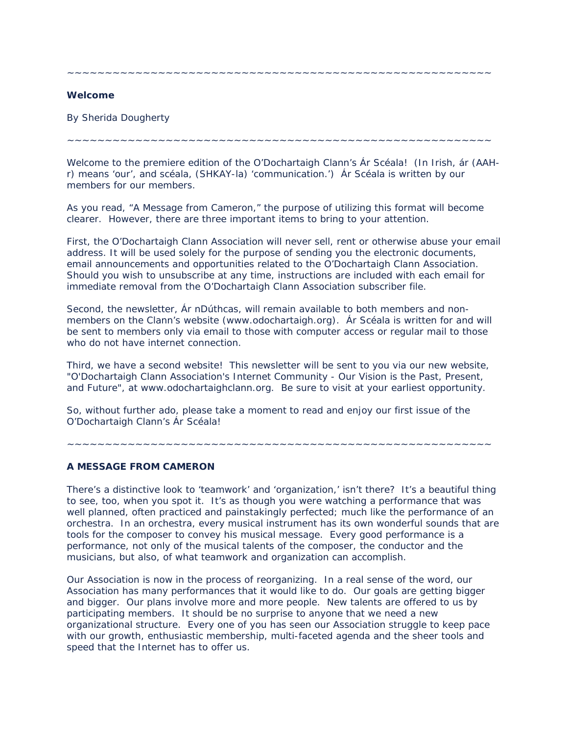~~~~~~~~~~~~~~~~~~~~~~~~~~~~~~~~~~~~~~~~~~~~~~~~~~~~~~~~

## **Welcome**

By Sherida Dougherty

~~~~~~~~~~~~~~~~~~~~~~~~~~~~~~~~~~~~~~~~~~~~~~~~~~~~~~~~

Welcome to the premiere edition of the O'Dochartaigh Clann's Ár Scéala! (In Irish, ár (AAHr) means 'our', and scéala, (SHKAY-la) 'communication.') Ár Scéala is written by our members for our members.

As you read, "A Message from Cameron," the purpose of utilizing this format will become clearer. However, there are three important items to bring to your attention.

First, the O'Dochartaigh Clann Association will never sell, rent or otherwise abuse your email address. It will be used solely for the purpose of sending you the electronic documents, email announcements and opportunities related to the O'Dochartaigh Clann Association. Should you wish to unsubscribe at any time, instructions are included with each email for immediate removal from the O'Dochartaigh Clann Association subscriber file.

Second, the newsletter, Ár nDúthcas, will remain available to both members and nonmembers on the Clann's website (www.odochartaigh.org). Ár Scéala is written for and will be sent to members only via email to those with computer access or regular mail to those who do not have internet connection.

Third, we have a second website! This newsletter will be sent to you via our new website, "O'Dochartaigh Clann Association's Internet Community - Our Vision is the Past, Present, and Future", at www.odochartaighclann.org. Be sure to visit at your earliest opportunity.

So, without further ado, please take a moment to read and enjoy our first issue of the O'Dochartaigh Clann's Ár Scéala!

# **A MESSAGE FROM CAMERON**

There's a distinctive look to 'teamwork' and 'organization,' isn't there? It's a beautiful thing to see, too, when you spot it. It's as though you were watching a performance that was well planned, often practiced and painstakingly perfected; much like the performance of an orchestra. In an orchestra, every musical instrument has its own wonderful sounds that are tools for the composer to convey his musical message. Every good performance is a performance, not only of the musical talents of the composer, the conductor and the musicians, but also, of what teamwork and organization can accomplish.

~~~~~~~~~~~~~~~~~~~~~~~~~~~~~~~~~~~~~~~~~~~~~~~~~~~~~~~~

Our Association is now in the process of reorganizing. In a real sense of the word, our Association has many performances that it would like to do. Our goals are getting bigger and bigger. Our plans involve more and more people. New talents are offered to us by participating members. It should be no surprise to anyone that we need a new organizational structure. Every one of you has seen our Association struggle to keep pace with our growth, enthusiastic membership, multi-faceted agenda and the sheer tools and speed that the Internet has to offer us.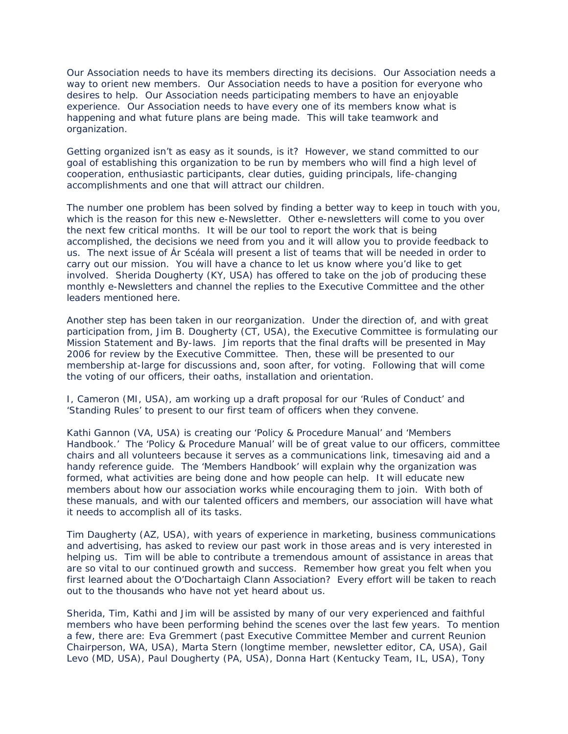Our Association needs to have its members directing its decisions. Our Association needs a way to orient new members. Our Association needs to have a position for everyone who desires to help. Our Association needs participating members to have an enjoyable experience. Our Association needs to have every one of its members know what is happening and what future plans are being made. This will take teamwork and organization.

Getting organized isn't as easy as it sounds, is it? However, we stand committed to our goal of establishing this organization to be run by members who will find a high level of cooperation, enthusiastic participants, clear duties, guiding principals, life-changing accomplishments and one that will attract our children.

The number one problem has been solved by finding a better way to keep in touch with you, which is the reason for this new e-Newsletter. Other e-newsletters will come to you over the next few critical months. It will be our tool to report the work that is being accomplished, the decisions we need from you and it will allow you to provide feedback to us. The next issue of Ár Scéala will present a list of teams that will be needed in order to carry out our mission. You will have a chance to let us know where you'd like to get involved. Sherida Dougherty (KY, USA) has offered to take on the job of producing these monthly e-Newsletters and channel the replies to the Executive Committee and the other leaders mentioned here.

Another step has been taken in our reorganization. Under the direction of, and with great participation from, Jim B. Dougherty (CT, USA), the Executive Committee is formulating our Mission Statement and By-laws. Jim reports that the final drafts will be presented in May 2006 for review by the Executive Committee. Then, these will be presented to our membership at-large for discussions and, soon after, for voting. Following that will come the voting of our officers, their oaths, installation and orientation.

I, Cameron (MI, USA), am working up a draft proposal for our 'Rules of Conduct' and 'Standing Rules' to present to our first team of officers when they convene.

Kathi Gannon (VA, USA) is creating our 'Policy & Procedure Manual' and 'Members Handbook.' The 'Policy & Procedure Manual' will be of great value to our officers, committee chairs and all volunteers because it serves as a communications link, timesaving aid and a handy reference guide. The 'Members Handbook' will explain why the organization was formed, what activities are being done and how people can help. It will educate new members about how our association works while encouraging them to join. With both of these manuals, and with our talented officers and members, our association will have what it needs to accomplish all of its tasks.

Tim Daugherty (AZ, USA), with years of experience in marketing, business communications and advertising, has asked to review our past work in those areas and is very interested in helping us. Tim will be able to contribute a tremendous amount of assistance in areas that are so vital to our continued growth and success. Remember how great you felt when you first learned about the O'Dochartaigh Clann Association? Every effort will be taken to reach out to the thousands who have not yet heard about us.

Sherida, Tim, Kathi and Jim will be assisted by many of our very experienced and faithful members who have been performing behind the scenes over the last few years. To mention a few, there are: Eva Gremmert (past Executive Committee Member and current Reunion Chairperson, WA, USA), Marta Stern (longtime member, newsletter editor, CA, USA), Gail Levo (MD, USA), Paul Dougherty (PA, USA), Donna Hart (Kentucky Team, IL, USA), Tony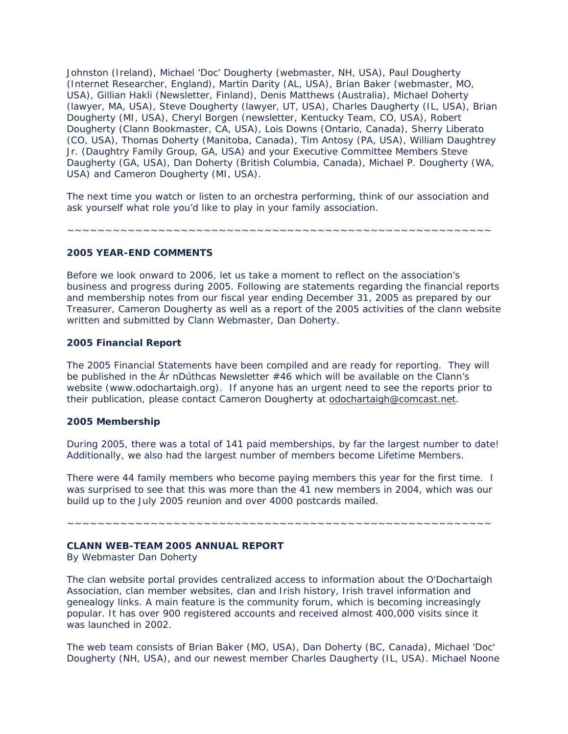Johnston (Ireland), Michael 'Doc' Dougherty (webmaster, NH, USA), Paul Dougherty (Internet Researcher, England), Martin Darity (AL, USA), Brian Baker (webmaster, MO, USA), Gillian Hakli (Newsletter, Finland), Denis Matthews (Australia), Michael Doherty (lawyer, MA, USA), Steve Dougherty (lawyer, UT, USA), Charles Daugherty (IL, USA), Brian Dougherty (MI, USA), Cheryl Borgen (newsletter, Kentucky Team, CO, USA), Robert Dougherty (Clann Bookmaster, CA, USA), Lois Downs (Ontario, Canada), Sherry Liberato (CO, USA), Thomas Doherty (Manitoba, Canada), Tim Antosy (PA, USA), William Daughtrey Jr. (Daughtry Family Group, GA, USA) and your Executive Committee Members Steve Daugherty (GA, USA), Dan Doherty (British Columbia, Canada), Michael P. Dougherty (WA, USA) and Cameron Dougherty (MI, USA).

The next time you watch or listen to an orchestra performing, think of our association and ask yourself what role you'd like to play in your family association.

~~~~~~~~~~~~~~~~~~~~~~~~~~~~~~~~~~~~~~~~~~~~~~~~~~~~~~~~

#### **2005 YEAR-END COMMENTS**

Before we look onward to 2006, let us take a moment to reflect on the association's business and progress during 2005. Following are statements regarding the financial reports and membership notes from our fiscal year ending December 31, 2005 as prepared by our Treasurer, Cameron Dougherty as well as a report of the 2005 activities of the clann website written and submitted by Clann Webmaster, Dan Doherty.

## **2005 Financial Report**

The 2005 Financial Statements have been compiled and are ready for reporting. They will be published in the Ár nDúthcas Newsletter #46 which will be available on the Clann's website (www.odochartaigh.org). If anyone has an urgent need to see the reports prior to their publication, please contact Cameron Dougherty at [odochartaigh@comcast.net.](http://mailcenter2.comcast.net/wmc/v/wm/44601535000A7282000002252205886014979B9D0A08099A010B0302019D?cmd=ComposeTo&adr=odochartaigh%40comcast%2Enet&sid=c0)

#### **2005 Membership**

During 2005, there was a total of 141 paid memberships, by far the largest number to date! Additionally, we also had the largest number of members become Lifetime Members.

There were 44 family members who become paying members this year for the first time. I was surprised to see that this was more than the 41 new members in 2004, which was our build up to the July 2005 reunion and over 4000 postcards mailed.

~~~~~~~~~~~~~~~~~~~~~~~~~~~~~~~~~~~~~~~~~~~~~~~~~~~~~~~~

#### **CLANN WEB-TEAM 2005 ANNUAL REPORT**

By Webmaster Dan Doherty

The clan website portal provides centralized access to information about the O'Dochartaigh Association, clan member websites, clan and Irish history, Irish travel information and genealogy links. A main feature is the community forum, which is becoming increasingly popular. It has over 900 registered accounts and received almost 400,000 visits since it was launched in 2002.

The web team consists of Brian Baker (MO, USA), Dan Doherty (BC, Canada), Michael 'Doc' Dougherty (NH, USA), and our newest member Charles Daugherty (IL, USA). Michael Noone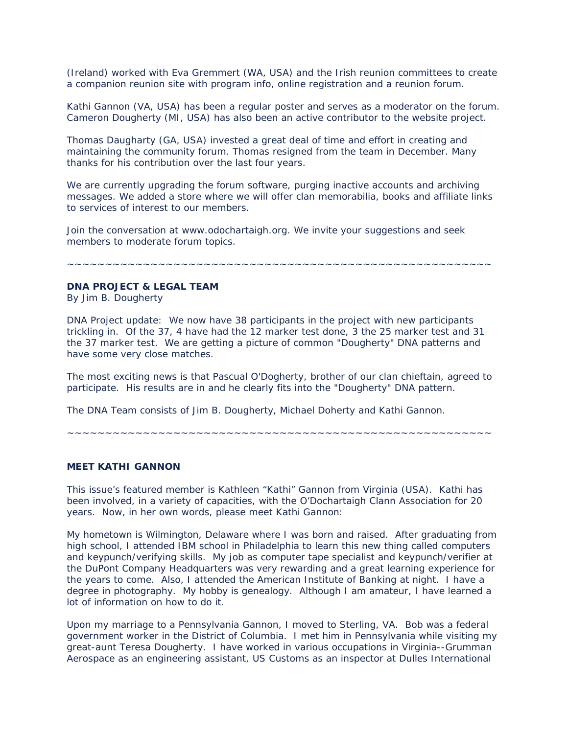(Ireland) worked with Eva Gremmert (WA, USA) and the Irish reunion committees to create a companion reunion site with program info, online registration and a reunion forum.

Kathi Gannon (VA, USA) has been a regular poster and serves as a moderator on the forum. Cameron Dougherty (MI, USA) has also been an active contributor to the website project.

Thomas Daugharty (GA, USA) invested a great deal of time and effort in creating and maintaining the community forum. Thomas resigned from the team in December. Many thanks for his contribution over the last four years.

We are currently upgrading the forum software, purging inactive accounts and archiving messages. We added a store where we will offer clan memorabilia, books and affiliate links to services of interest to our members.

Join the conversation at www.odochartaigh.org. We invite your suggestions and seek members to moderate forum topics.

~~~~~~~~~~~~~~~~~~~~~~~~~~~~~~~~~~~~~~~~~~~~~~~~~~~~~~~~

# **DNA PROJECT & LEGAL TEAM**

By Jim B. Dougherty

DNA Project update: We now have 38 participants in the project with new participants trickling in. Of the 37, 4 have had the 12 marker test done, 3 the 25 marker test and 31 the 37 marker test. We are getting a picture of common "Dougherty" DNA patterns and have some very close matches.

The most exciting news is that Pascual O'Dogherty, brother of our clan chieftain, agreed to participate. His results are in and he clearly fits into the "Dougherty" DNA pattern.

The DNA Team consists of Jim B. Dougherty, Michael Doherty and Kathi Gannon.

~~~~~~~~~~~~~~~~~~~~~~~~~~~~~~~~~~~~~~~~~~~~~~~~~~~~~~~~

## **MEET KATHI GANNON**

This issue's featured member is Kathleen "Kathi" Gannon from Virginia (USA). Kathi has been involved, in a variety of capacities, with the O'Dochartaigh Clann Association for 20 years. Now, in her own words, please meet Kathi Gannon:

My hometown is Wilmington, Delaware where I was born and raised. After graduating from high school, I attended IBM school in Philadelphia to learn this new thing called computers and keypunch/verifying skills. My job as computer tape specialist and keypunch/verifier at the DuPont Company Headquarters was very rewarding and a great learning experience for the years to come. Also, I attended the American Institute of Banking at night. I have a degree in photography. My hobby is genealogy. Although I am amateur, I have learned a lot of information on how to do it.

Upon my marriage to a Pennsylvania Gannon, I moved to Sterling, VA. Bob was a federal government worker in the District of Columbia. I met him in Pennsylvania while visiting my great-aunt Teresa Dougherty. I have worked in various occupations in Virginia--Grumman Aerospace as an engineering assistant, US Customs as an inspector at Dulles International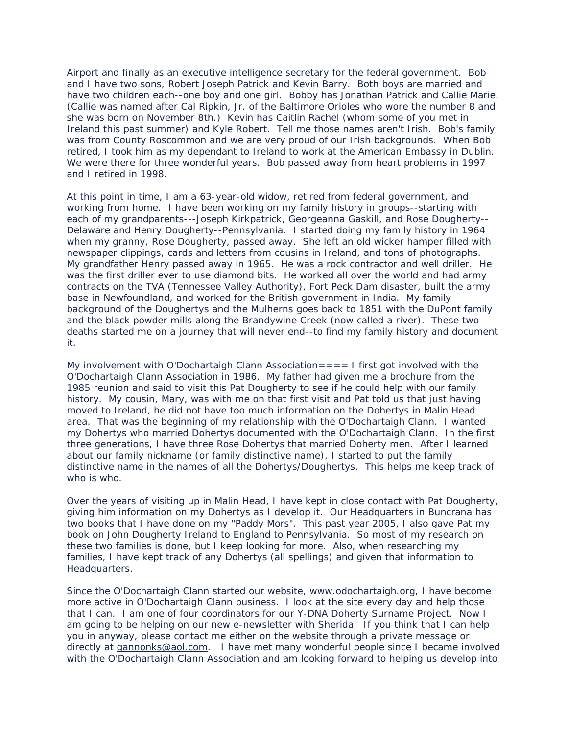Airport and finally as an executive intelligence secretary for the federal government. Bob and I have two sons, Robert Joseph Patrick and Kevin Barry. Both boys are married and have two children each--one boy and one girl. Bobby has Jonathan Patrick and Callie Marie. (Callie was named after Cal Ripkin, Jr. of the Baltimore Orioles who wore the number 8 and she was born on November 8th.) Kevin has Caitlin Rachel (whom some of you met in Ireland this past summer) and Kyle Robert. Tell me those names aren't Irish. Bob's family was from County Roscommon and we are very proud of our Irish backgrounds. When Bob retired, I took him as my dependant to Ireland to work at the American Embassy in Dublin. We were there for three wonderful years. Bob passed away from heart problems in 1997 and I retired in 1998.

At this point in time, I am a 63-year-old widow, retired from federal government, and working from home. I have been working on my family history in groups--starting with each of my grandparents---Joseph Kirkpatrick, Georgeanna Gaskill, and Rose Dougherty-- Delaware and Henry Dougherty--Pennsylvania. I started doing my family history in 1964 when my granny, Rose Dougherty, passed away. She left an old wicker hamper filled with newspaper clippings, cards and letters from cousins in Ireland, and tons of photographs. My grandfather Henry passed away in 1965. He was a rock contractor and well driller. He was the first driller ever to use diamond bits. He worked all over the world and had army contracts on the TVA (Tennessee Valley Authority), Fort Peck Dam disaster, built the army base in Newfoundland, and worked for the British government in India. My family background of the Doughertys and the Mulherns goes back to 1851 with the DuPont family and the black powder mills along the Brandywine Creek (now called a river). These two deaths started me on a journey that will never end--to find my family history and document it.

My involvement with O'Dochartaigh Clann Association= $== 1$  first got involved with the O'Dochartaigh Clann Association in 1986. My father had given me a brochure from the 1985 reunion and said to visit this Pat Dougherty to see if he could help with our family history. My cousin, Mary, was with me on that first visit and Pat told us that just having moved to Ireland, he did not have too much information on the Dohertys in Malin Head area. That was the beginning of my relationship with the O'Dochartaigh Clann. I wanted my Dohertys who married Dohertys documented with the O'Dochartaigh Clann. In the first three generations, I have three Rose Dohertys that married Doherty men. After I learned about our family nickname (or family distinctive name), I started to put the family distinctive name in the names of all the Dohertys/Doughertys. This helps me keep track of who is who.

Over the years of visiting up in Malin Head, I have kept in close contact with Pat Dougherty, giving him information on my Dohertys as I develop it. Our Headquarters in Buncrana has two books that I have done on my "Paddy Mors". This past year 2005, I also gave Pat my book on John Dougherty Ireland to England to Pennsylvania. So most of my research on these two families is done, but I keep looking for more. Also, when researching my families, I have kept track of any Dohertys (all spellings) and given that information to Headquarters.

Since the O'Dochartaigh Clann started our website, www.odochartaigh.org, I have become more active in O'Dochartaigh Clann business. I look at the site every day and help those that I can. I am one of four coordinators for our Y-DNA Doherty Surname Project. Now I am going to be helping on our new e-newsletter with Sherida. If you think that I can help you in anyway, please contact me either on the website through a private message or directly at [gannonks@aol.com.](http://mailcenter2.comcast.net/wmc/v/wm/44601535000A7282000002252205886014979B9D0A08099A010B0302019D?cmd=ComposeTo&adr=gannonks%40aol%2Ecom&sid=c0) I have met many wonderful people since I became involved with the O'Dochartaigh Clann Association and am looking forward to helping us develop into